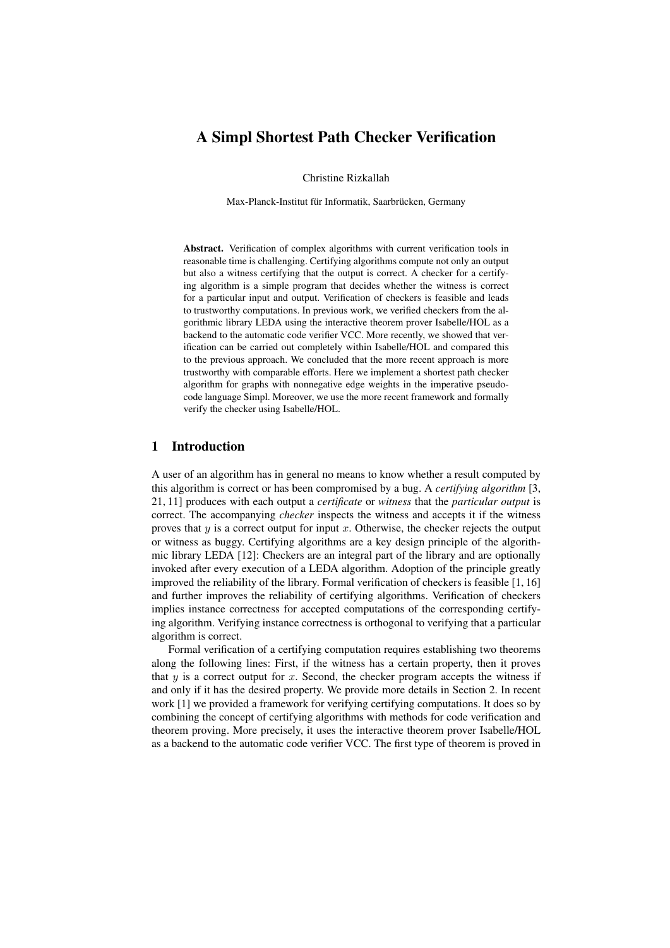# A Simpl Shortest Path Checker Verification

Christine Rizkallah

Max-Planck-Institut für Informatik, Saarbrücken, Germany

Abstract. Verification of complex algorithms with current verification tools in reasonable time is challenging. Certifying algorithms compute not only an output but also a witness certifying that the output is correct. A checker for a certifying algorithm is a simple program that decides whether the witness is correct for a particular input and output. Verification of checkers is feasible and leads to trustworthy computations. In previous work, we verified checkers from the algorithmic library LEDA using the interactive theorem prover Isabelle/HOL as a backend to the automatic code verifier VCC. More recently, we showed that verification can be carried out completely within Isabelle/HOL and compared this to the previous approach. We concluded that the more recent approach is more trustworthy with comparable efforts. Here we implement a shortest path checker algorithm for graphs with nonnegative edge weights in the imperative pseudocode language Simpl. Moreover, we use the more recent framework and formally verify the checker using Isabelle/HOL.

# 1 Introduction

A user of an algorithm has in general no means to know whether a result computed by this algorithm is correct or has been compromised by a bug. A *certifying algorithm* [3, 21, 11] produces with each output a *certificate* or *witness* that the *particular output* is correct. The accompanying *checker* inspects the witness and accepts it if the witness proves that  $y$  is a correct output for input  $x$ . Otherwise, the checker rejects the output or witness as buggy. Certifying algorithms are a key design principle of the algorithmic library LEDA [12]: Checkers are an integral part of the library and are optionally invoked after every execution of a LEDA algorithm. Adoption of the principle greatly improved the reliability of the library. Formal verification of checkers is feasible [1, 16] and further improves the reliability of certifying algorithms. Verification of checkers implies instance correctness for accepted computations of the corresponding certifying algorithm. Verifying instance correctness is orthogonal to verifying that a particular algorithm is correct.

Formal verification of a certifying computation requires establishing two theorems along the following lines: First, if the witness has a certain property, then it proves that  $y$  is a correct output for  $x$ . Second, the checker program accepts the witness if and only if it has the desired property. We provide more details in Section 2. In recent work [1] we provided a framework for verifying certifying computations. It does so by combining the concept of certifying algorithms with methods for code verification and theorem proving. More precisely, it uses the interactive theorem prover Isabelle/HOL as a backend to the automatic code verifier VCC. The first type of theorem is proved in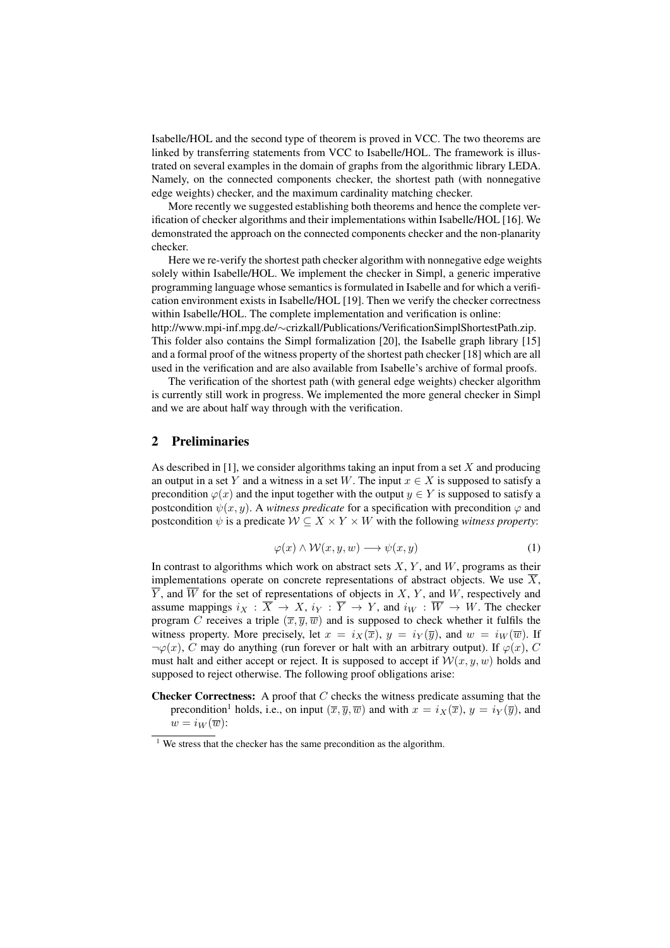Isabelle/HOL and the second type of theorem is proved in VCC. The two theorems are linked by transferring statements from VCC to Isabelle/HOL. The framework is illustrated on several examples in the domain of graphs from the algorithmic library LEDA. Namely, on the connected components checker, the shortest path (with nonnegative edge weights) checker, and the maximum cardinality matching checker.

More recently we suggested establishing both theorems and hence the complete verification of checker algorithms and their implementations within Isabelle/HOL [16]. We demonstrated the approach on the connected components checker and the non-planarity checker.

Here we re-verify the shortest path checker algorithm with nonnegative edge weights solely within Isabelle/HOL. We implement the checker in Simpl, a generic imperative programming language whose semantics is formulated in Isabelle and for which a verification environment exists in Isabelle/HOL [19]. Then we verify the checker correctness within Isabelle/HOL. The complete implementation and verification is online: http://www.mpi-inf.mpg.de/∼crizkall/Publications/VerificationSimplShortestPath.zip. This folder also contains the Simpl formalization [20], the Isabelle graph library [15]

and a formal proof of the witness property of the shortest path checker [18] which are all used in the verification and are also available from Isabelle's archive of formal proofs.

The verification of the shortest path (with general edge weights) checker algorithm is currently still work in progress. We implemented the more general checker in Simpl and we are about half way through with the verification.

# 2 Preliminaries

As described in [1], we consider algorithms taking an input from a set X and producing an output in a set Y and a witness in a set W. The input  $x \in X$  is supposed to satisfy a precondition  $\varphi(x)$  and the input together with the output  $y \in Y$  is supposed to satisfy a postcondition  $\psi(x, y)$ . A *witness predicate* for a specification with precondition  $\varphi$  and postcondition  $\psi$  is a predicate  $W \subseteq X \times Y \times W$  with the following *witness property*:

$$
\varphi(x) \land \mathcal{W}(x, y, w) \longrightarrow \psi(x, y) \tag{1}
$$

In contrast to algorithms which work on abstract sets  $X, Y$ , and  $W$ , programs as their implementations operate on concrete representations of abstract objects. We use  $\overline{X}$ ,  $Y$ , and  $W$  for the set of representations of objects in  $X$ ,  $Y$ , and  $W$ , respectively and assume mappings  $i_X : X \to X$ ,  $i_Y : Y \to Y$ , and  $i_W : W \to W$ . The checker program C receives a triple  $(\overline{x}, \overline{y}, \overline{w})$  and is supposed to check whether it fulfils the witness property. More precisely, let  $x = i_X(\overline{x})$ ,  $y = i_Y(\overline{y})$ , and  $w = i_W(\overline{w})$ . If  $\neg \varphi(x)$ , C may do anything (run forever or halt with an arbitrary output). If  $\varphi(x)$ , C must halt and either accept or reject. It is supposed to accept if  $\mathcal{W}(x, y, w)$  holds and supposed to reject otherwise. The following proof obligations arise:

**Checker Correctness:** A proof that  $C$  checks the witness predicate assuming that the precondition<sup>1</sup> holds, i.e., on input  $(\overline{x}, \overline{y}, \overline{w})$  and with  $x = i_X(\overline{x})$ ,  $y = i_Y(\overline{y})$ , and  $w = i_W(\overline{w})$ :

 $1$  We stress that the checker has the same precondition as the algorithm.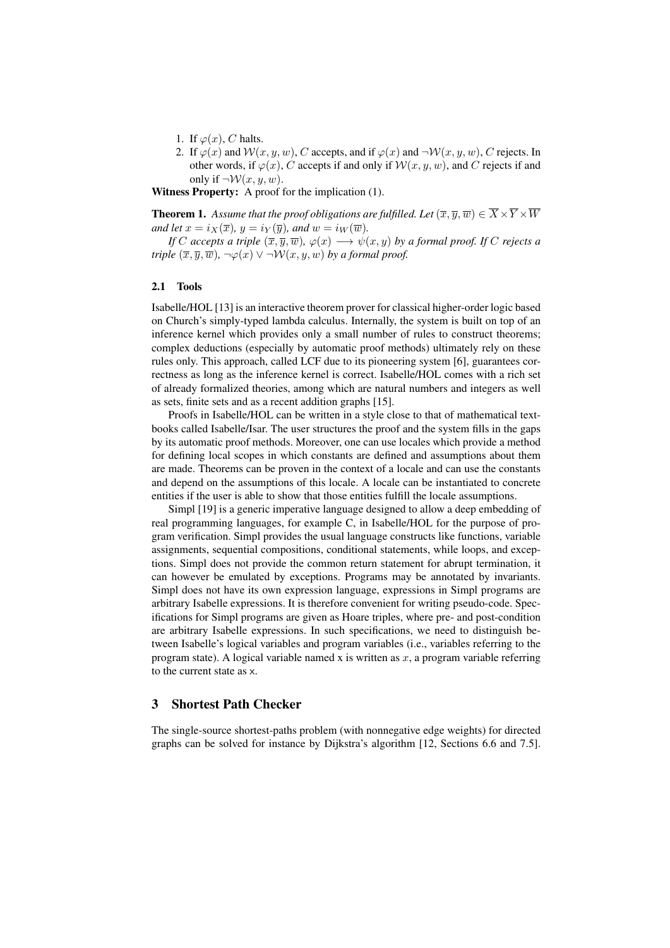- 1. If  $\varphi(x)$ , C halts.
- 2. If  $\varphi(x)$  and  $\mathcal{W}(x, y, w)$ , C accepts, and if  $\varphi(x)$  and  $\neg \mathcal{W}(x, y, w)$ , C rejects. In other words, if  $\varphi(x)$ , C accepts if and only if  $\mathcal{W}(x, y, w)$ , and C rejects if and only if  $\neg W(x, y, w)$ .

Witness Property: A proof for the implication (1).

**Theorem 1.** Assume that the proof obligations are fulfilled. Let  $(\overline{x}, \overline{y}, \overline{w}) \in \overline{X} \times \overline{Y} \times \overline{W}$ *and let*  $x = i_X(\overline{x})$ *,*  $y = i_Y(\overline{y})$ *, and*  $w = i_W(\overline{w})$ *.* 

*If* C accepts a triple  $(\overline{x}, \overline{y}, \overline{w})$ ,  $\varphi(x) \longrightarrow \psi(x, y)$  by a formal proof. If C rejects a *triple*  $(\overline{x}, \overline{y}, \overline{w})$ *,*  $\neg \varphi(x) \vee \neg \mathcal{W}(x, y, w)$  *by a formal proof.* 

#### 2.1 Tools

Isabelle/HOL [13] is an interactive theorem prover for classical higher-order logic based on Church's simply-typed lambda calculus. Internally, the system is built on top of an inference kernel which provides only a small number of rules to construct theorems; complex deductions (especially by automatic proof methods) ultimately rely on these rules only. This approach, called LCF due to its pioneering system [6], guarantees correctness as long as the inference kernel is correct. Isabelle/HOL comes with a rich set of already formalized theories, among which are natural numbers and integers as well as sets, finite sets and as a recent addition graphs [15].

Proofs in Isabelle/HOL can be written in a style close to that of mathematical textbooks called Isabelle/Isar. The user structures the proof and the system fills in the gaps by its automatic proof methods. Moreover, one can use locales which provide a method for defining local scopes in which constants are defined and assumptions about them are made. Theorems can be proven in the context of a locale and can use the constants and depend on the assumptions of this locale. A locale can be instantiated to concrete entities if the user is able to show that those entities fulfill the locale assumptions.

Simpl [19] is a generic imperative language designed to allow a deep embedding of real programming languages, for example C, in Isabelle/HOL for the purpose of program verification. Simpl provides the usual language constructs like functions, variable assignments, sequential compositions, conditional statements, while loops, and exceptions. Simpl does not provide the common return statement for abrupt termination, it can however be emulated by exceptions. Programs may be annotated by invariants. Simpl does not have its own expression language, expressions in Simpl programs are arbitrary Isabelle expressions. It is therefore convenient for writing pseudo-code. Specifications for Simpl programs are given as Hoare triples, where pre- and post-condition are arbitrary Isabelle expressions. In such specifications, we need to distinguish between Isabelle's logical variables and program variables (i.e., variables referring to the program state). A logical variable named x is written as  $x$ , a program variable referring to the current state as x.

# 3 Shortest Path Checker

The single-source shortest-paths problem (with nonnegative edge weights) for directed graphs can be solved for instance by Dijkstra's algorithm [12, Sections 6.6 and 7.5].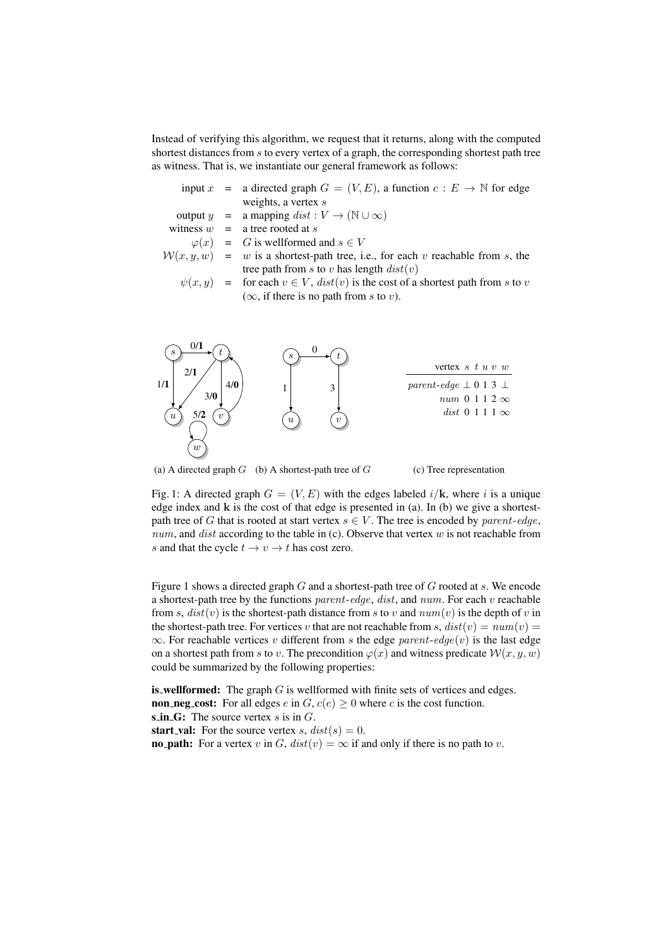Instead of verifying this algorithm, we request that it returns, along with the computed shortest distances from s to every vertex of a graph, the corresponding shortest path tree as witness. That is, we instantiate our general framework as follows:

|  | input $x =$ a directed graph $G = (V, E)$ , a function $c : E \to \mathbb{N}$ for edge   |
|--|------------------------------------------------------------------------------------------|
|  | weights, a vertex $s$                                                                    |
|  | output $y = a$ mapping $dist : V \to (\mathbb{N} \cup \infty)$                           |
|  | witness $w = a$ tree rooted at s                                                         |
|  | $\varphi(x) = G$ is wellformed and $s \in V$                                             |
|  | $W(x, y, w) = w$ is a shortest-path tree, i.e., for each v reachable from s, the         |
|  | tree path from s to v has length $dist(v)$                                               |
|  | $\psi(x, y)$ = for each $v \in V$ , $dist(v)$ is the cost of a shortest path from s to v |
|  | $(\infty)$ , if there is no path from s to v).                                           |



(a) A directed graph  $G$  (b) A shortest-path tree of  $G$ 

(c) Tree representation

Fig. 1: A directed graph  $G = (V, E)$  with the edges labeled  $i/\mathbf{k}$ , where i is a unique edge index and k is the cost of that edge is presented in (a). In (b) we give a shortestpath tree of G that is rooted at start vertex  $s \in V$ . The tree is encoded by parent-edge, num, and dist according to the table in (c). Observe that vertex  $w$  is not reachable from s and that the cycle  $t \to v \to t$  has cost zero.

Figure 1 shows a directed graph  $G$  and a shortest-path tree of  $G$  rooted at  $s$ . We encode a shortest-path tree by the functions  $parent-edge$ ,  $dist$ , and  $num$ . For each v reachable from s,  $dist(v)$  is the shortest-path distance from s to v and  $num(v)$  is the depth of v in the shortest-path tree. For vertices v that are not reachable from s,  $dist(v) = num(v) =$  $\infty$ . For reachable vertices v different from s the edge parent-edge(v) is the last edge on a shortest path from s to v. The precondition  $\varphi(x)$  and witness predicate  $\mathcal{W}(x, y, w)$ could be summarized by the following properties:

**is wellformed:** The graph  $G$  is wellformed with finite sets of vertices and edges. **non neg cost:** For all edges  $e$  in  $G$ ,  $c(e) \ge 0$  where  $c$  is the cost function. s in G: The source vertex  $s$  is in  $G$ . start val: For the source vertex s,  $dist(s) = 0$ .

**no path:** For a vertex v in G,  $dist(v) = \infty$  if and only if there is no path to v.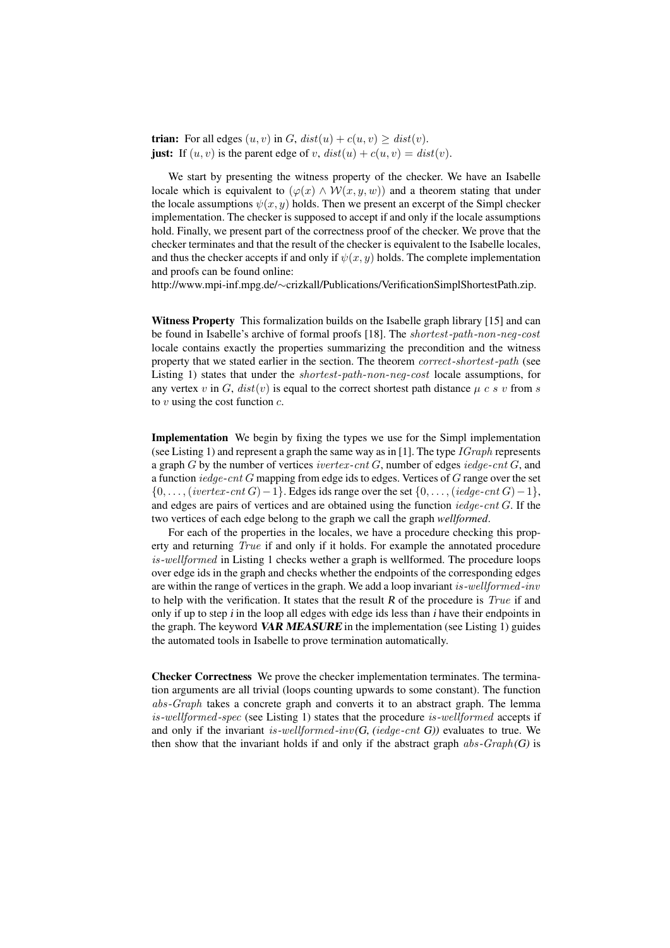**trian:** For all edges  $(u, v)$  in G,  $dist(u) + c(u, v) \geq dist(v)$ . just: If  $(u, v)$  is the parent edge of v,  $dist(u) + c(u, v) = dist(v)$ .

We start by presenting the witness property of the checker. We have an Isabelle locale which is equivalent to  $(\varphi(x) \wedge \mathcal{W}(x, y, w))$  and a theorem stating that under the locale assumptions  $\psi(x, y)$  holds. Then we present an excerpt of the Simpl checker implementation. The checker is supposed to accept if and only if the locale assumptions hold. Finally, we present part of the correctness proof of the checker. We prove that the checker terminates and that the result of the checker is equivalent to the Isabelle locales, and thus the checker accepts if and only if  $\psi(x, y)$  holds. The complete implementation and proofs can be found online:

http://www.mpi-inf.mpg.de/∼crizkall/Publications/VerificationSimplShortestPath.zip.

Witness Property This formalization builds on the Isabelle graph library [15] and can be found in Isabelle's archive of formal proofs [18]. The shortest-path-non-neg-cost locale contains exactly the properties summarizing the precondition and the witness property that we stated earlier in the section. The theorem correct-shortest-path (see Listing 1) states that under the shortest-path-non-neg-cost locale assumptions, for any vertex v in G,  $dist(v)$  is equal to the correct shortest path distance  $\mu c s v$  from s to  $v$  using the cost function  $c$ .

Implementation We begin by fixing the types we use for the Simpl implementation (see Listing 1) and represent a graph the same way as in [1]. The type  $\Gamma$  *Graph* represents a graph G by the number of vertices ivertex-cnt G, number of edges iedge-cnt G, and a function  $\text{iedge-}cnt G$  mapping from edge ids to edges. Vertices of  $G$  range over the set  $\{0, \ldots, (vertex-cnt G)-1\}$ . Edges ids range over the set  $\{0, \ldots, (ledge-cnt G)-1\}$ , and edges are pairs of vertices and are obtained using the function  $\text{iedge-cnt } G$ . If the two vertices of each edge belong to the graph we call the graph *wellformed*.

For each of the properties in the locales, we have a procedure checking this property and returning True if and only if it holds. For example the annotated procedure is-wellformed in Listing 1 checks wether a graph is wellformed. The procedure loops over edge ids in the graph and checks whether the endpoints of the corresponding edges are within the range of vertices in the graph. We add a loop invariant is-wellformed-inv to help with the verification. It states that the result R of the procedure is  $True$  if and only if up to step i in the loop all edges with edge ids less than i have their endpoints in the graph. The keyword VAR MEASURE in the implementation (see Listing 1) guides the automated tools in Isabelle to prove termination automatically.

Checker Correctness We prove the checker implementation terminates. The termination arguments are all trivial (loops counting upwards to some constant). The function abs-Graph takes a concrete graph and converts it to an abstract graph. The lemma is-wellformed-spec (see Listing 1) states that the procedure is-wellformed accepts if and only if the invariant is-wellformed-inv(G, (iedge-cnt G)) evaluates to true. We then show that the invariant holds if and only if the abstract graph  $abs-Graph(G)$  is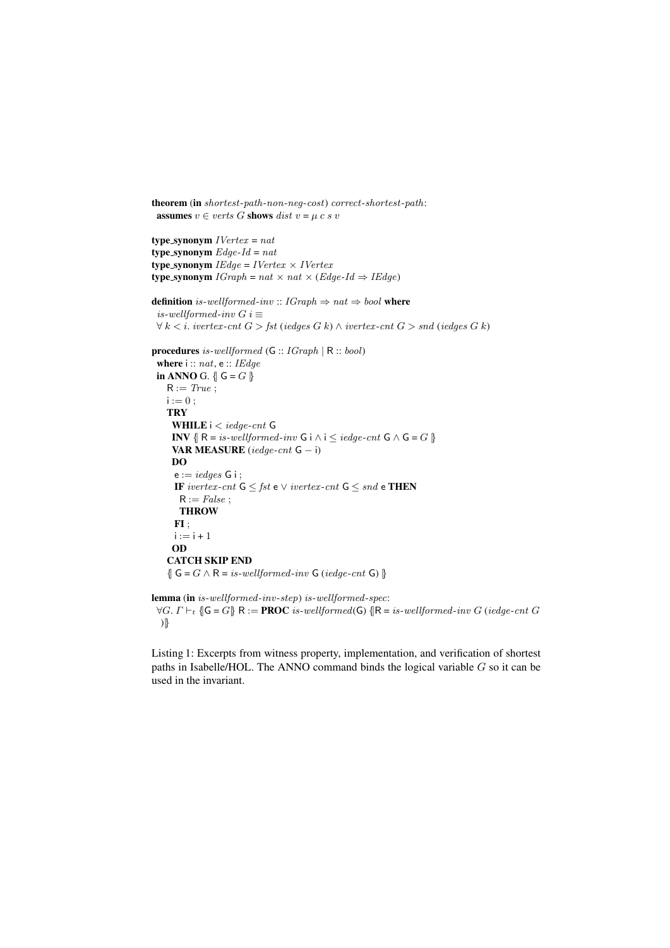```
theorem (in shortest-path-non-neg-cost) correct-shortest-path:
 assumes v \in \text{verts } G shows dist v = \mu \text{ c } s v
```

```
type_synonym IVertex = nattype_synonym Edge-Id = nattype synonym IEdge = IVertex \times IVertextype synonym IGraph = nat \times nat \times (Edge-Id \Rightarrow IEdge)definition is-wellformed-inv :: IGraph \Rightarrow nat \Rightarrow bool where
 is-wellformed-inv G i \equiv\forall k \leq i. ivertex-cnt G > fst (iedges G k) \land ivertex-cnt G > snd (iedges G k)
procedures is-wellformed (G :: IGraph | R :: bool)
 where i :: nat, e :: IEdge
 in ANNO G. \{\mathsf{G} = G\}R := True;i := 0;TRY
     WHILE i < iedge-cnt G
     INV \{ \mathbb{R} = \text{is-wellformed-inv } G \text{ i} \wedge \text{i} \leq \text{iedge-cnt } G \wedge G = G \}VAR MEASURE (\text{iedge-cnt } G - i)
     DO
     e := idges G i ;IF ivertex-cnt G \leq fst e \vee ivertex-cnt G \leq snd e THEN
      R := False;THROW
     FI;
     i := i + 1OD
    CATCH SKIP END
    \{G = G \wedge R = is-wellformed-inv G (iedge-cnt G)\}lemma (in is-wellformed-inv-step) is-wellformed-spec:
```

```
\forall G. \Gamma \vdash_t \{\!\!\{\mathsf{G} = G\}\!\!\} R := PROC is-wellformed(G) \{\!\!\{\mathsf{R} = is-wellformed\text{-}inv\ G\} (iedge-cnt G)
)|}
```
Listing 1: Excerpts from witness property, implementation, and verification of shortest paths in Isabelle/HOL. The ANNO command binds the logical variable G so it can be used in the invariant.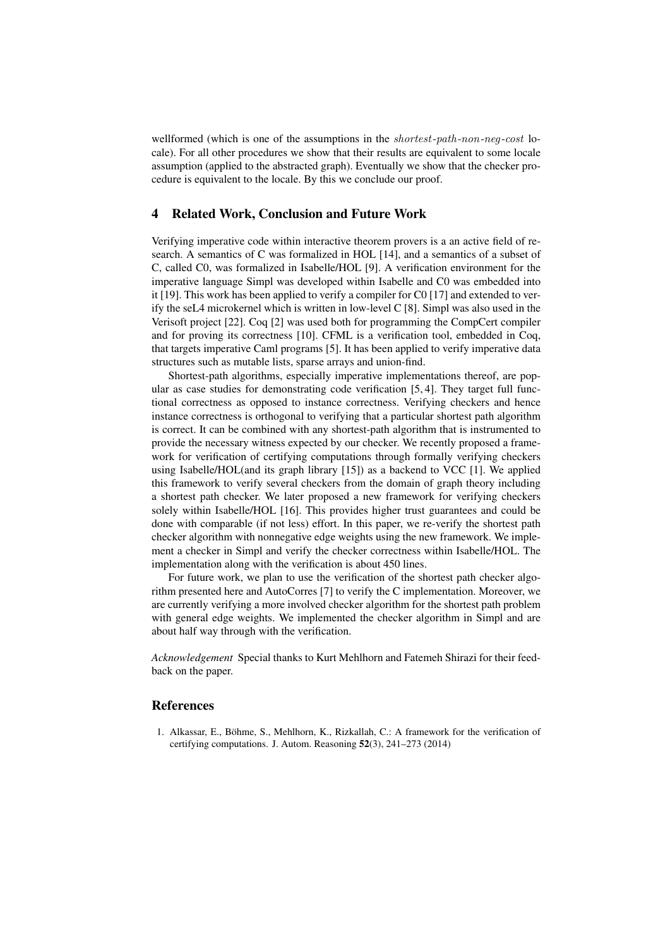wellformed (which is one of the assumptions in the *shortest-path-non-neg-cost* locale). For all other procedures we show that their results are equivalent to some locale assumption (applied to the abstracted graph). Eventually we show that the checker procedure is equivalent to the locale. By this we conclude our proof.

### 4 Related Work, Conclusion and Future Work

Verifying imperative code within interactive theorem provers is a an active field of research. A semantics of C was formalized in HOL [14], and a semantics of a subset of C, called C0, was formalized in Isabelle/HOL [9]. A verification environment for the imperative language Simpl was developed within Isabelle and C0 was embedded into it [19]. This work has been applied to verify a compiler for C0 [17] and extended to verify the seL4 microkernel which is written in low-level C [8]. Simpl was also used in the Verisoft project [22]. Coq [2] was used both for programming the CompCert compiler and for proving its correctness [10]. CFML is a verification tool, embedded in Coq, that targets imperative Caml programs [5]. It has been applied to verify imperative data structures such as mutable lists, sparse arrays and union-find.

Shortest-path algorithms, especially imperative implementations thereof, are popular as case studies for demonstrating code verification [5, 4]. They target full functional correctness as opposed to instance correctness. Verifying checkers and hence instance correctness is orthogonal to verifying that a particular shortest path algorithm is correct. It can be combined with any shortest-path algorithm that is instrumented to provide the necessary witness expected by our checker. We recently proposed a framework for verification of certifying computations through formally verifying checkers using Isabelle/HOL(and its graph library [15]) as a backend to VCC [1]. We applied this framework to verify several checkers from the domain of graph theory including a shortest path checker. We later proposed a new framework for verifying checkers solely within Isabelle/HOL [16]. This provides higher trust guarantees and could be done with comparable (if not less) effort. In this paper, we re-verify the shortest path checker algorithm with nonnegative edge weights using the new framework. We implement a checker in Simpl and verify the checker correctness within Isabelle/HOL. The implementation along with the verification is about 450 lines.

For future work, we plan to use the verification of the shortest path checker algorithm presented here and AutoCorres [7] to verify the C implementation. Moreover, we are currently verifying a more involved checker algorithm for the shortest path problem with general edge weights. We implemented the checker algorithm in Simpl and are about half way through with the verification.

*Acknowledgement* Special thanks to Kurt Mehlhorn and Fatemeh Shirazi for their feedback on the paper.

# References

1. Alkassar, E., Bohme, S., Mehlhorn, K., Rizkallah, C.: A framework for the verification of ¨ certifying computations. J. Autom. Reasoning 52(3), 241–273 (2014)